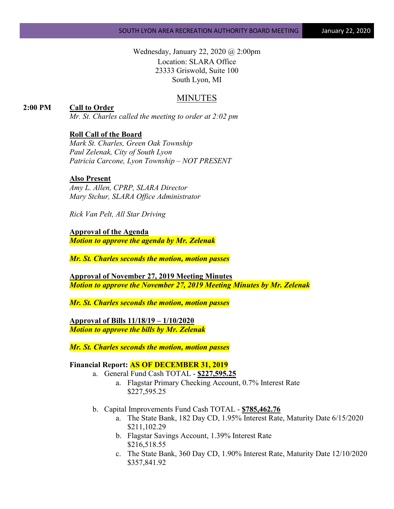Wednesday, January 22, 2020 @ 2:00pm Location: SLARA Office 23333 Griswold, Suite 100 South Lyon, MI

# MINUTES

## **2:00 PM Call to Order**

*Mr. St. Charles called the meeting to order at 2:02 pm*

## **Roll Call of the Board**

*Mark St. Charles, Green Oak Township Paul Zelenak, City of South Lyon Patricia Carcone, Lyon Township – NOT PRESENT*

#### **Also Present**

*Amy L. Allen, CPRP, SLARA Director Mary Stchur, SLARA Office Administrator* 

*Rick Van Pelt, All Star Driving*

**Approval of the Agenda** *Motion to approve the agenda by Mr. Zelenak*

*Mr. St. Charles seconds the motion, motion passes*

**Approval of November 27, 2019 Meeting Minutes** *Motion to approve the November 27, 2019 Meeting Minutes by Mr. Zelenak*

*Mr. St. Charles seconds the motion, motion passes*

**Approval of Bills 11/18/19 – 1/10/2020** *Motion to approve the bills by Mr. Zelenak*

*Mr. St. Charles seconds the motion, motion passes*

#### **Financial Report: AS OF DECEMBER 31, 2019**

- a. General Fund Cash TOTAL **\$227,595.25**
	- a. Flagstar Primary Checking Account, 0.7% Interest Rate \$227,595.25
- b. Capital Improvements Fund Cash TOTAL **\$785,462.76**
	- a. The State Bank, 182 Day CD, 1.95% Interest Rate, Maturity Date 6/15/2020 \$211,102.29
	- b. Flagstar Savings Account, 1.39% Interest Rate \$216,518.55
	- c. The State Bank, 360 Day CD, 1.90% Interest Rate, Maturity Date 12/10/2020 \$357,841.92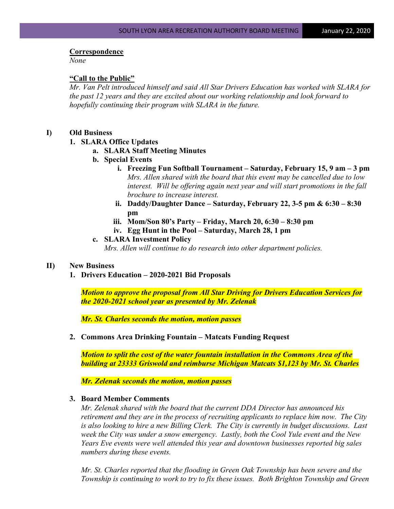#### **Correspondence**

*None*

#### **"Call to the Public"**

*Mr. Van Pelt introduced himself and said All Star Drivers Education has worked with SLARA for the past 12 years and they are excited about our working relationship and look forward to hopefully continuing their program with SLARA in the future.*

#### **I) Old Business**

#### **1. SLARA Office Updates**

- **a. SLARA Staff Meeting Minutes**
- **b. Special Events**
	- **i. Freezing Fun Softball Tournament – Saturday, February 15, 9 am – 3 pm** *Mrs. Allen shared with the board that this event may be cancelled due to low interest. Will be offering again next year and will start promotions in the fall brochure to increase interest.*
	- **ii. Daddy/Daughter Dance – Saturday, February 22, 3-5 pm & 6:30 – 8:30 pm**
	- **iii. Mom/Son 80's Party – Friday, March 20, 6:30 – 8:30 pm**
	- **iv. Egg Hunt in the Pool – Saturday, March 28, 1 pm**

#### **c. SLARA Investment Policy**

*Mrs. Allen will continue to do research into other department policies.*

#### **II) New Business**

**1. Drivers Education – 2020-2021 Bid Proposals**

*Motion to approve the proposal from All Star Driving for Drivers Education Services for the 2020-2021 school year as presented by Mr. Zelenak*

*Mr. St. Charles seconds the motion, motion passes*

**2. Commons Area Drinking Fountain – Matcats Funding Request**

*Motion to split the cost of the water fountain installation in the Commons Area of the building at 23333 Griswold and reimburse Michigan Matcats \$1,123 by Mr. St. Charles*

*Mr. Zelenak seconds the motion, motion passes*

# **3. Board Member Comments**

*Mr. Zelenak shared with the board that the current DDA Director has announced his retirement and they are in the process of recruiting applicants to replace him now. The City is also looking to hire a new Billing Clerk. The City is currently in budget discussions. Last week the City was under a snow emergency. Lastly, both the Cool Yule event and the New Years Eve events were well attended this year and downtown businesses reported big sales numbers during these events.* 

*Mr. St. Charles reported that the flooding in Green Oak Township has been severe and the Township is continuing to work to try to fix these issues. Both Brighton Township and Green*